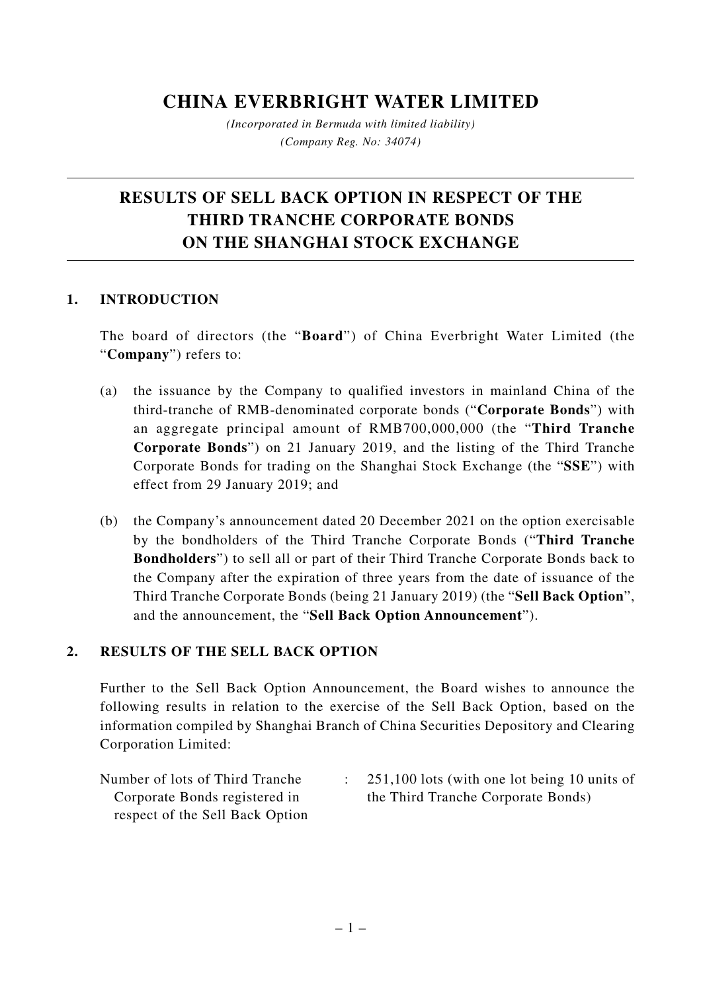## **CHINA EVERBRIGHT WATER LIMITED**

*(Incorporated in Bermuda with limited liability) (Company Reg. No: 34074)*

# **RESULTS OF SELL BACK OPTION IN RESPECT OF THE THIRD TRANCHE CORPORATE BONDS ON THE SHANGHAI STOCK EXCHANGE**

### **1. INTRODUCTION**

The board of directors (the "**Board**") of China Everbright Water Limited (the "**Company**") refers to:

- (a) the issuance by the Company to qualified investors in mainland China of the third-tranche of RMB-denominated corporate bonds ("**Corporate Bonds**") with an aggregate principal amount of RMB700,000,000 (the "**Third Tranche Corporate Bonds**") on 21 January 2019, and the listing of the Third Tranche Corporate Bonds for trading on the Shanghai Stock Exchange (the "**SSE**") with effect from 29 January 2019; and
- (b) the Company's announcement dated 20 December 2021 on the option exercisable by the bondholders of the Third Tranche Corporate Bonds ("**Third Tranche Bondholders**") to sell all or part of their Third Tranche Corporate Bonds back to the Company after the expiration of three years from the date of issuance of the Third Tranche Corporate Bonds (being 21 January 2019) (the "**Sell Back Option**", and the announcement, the "**Sell Back Option Announcement**").

### **2. RESULTS OF THE SELL BACK OPTION**

Further to the Sell Back Option Announcement, the Board wishes to announce the following results in relation to the exercise of the Sell Back Option, based on the information compiled by Shanghai Branch of China Securities Depository and Clearing Corporation Limited:

- Number of lots of Third Tranche Corporate Bonds registered in respect of the Sell Back Option
- : 251,100 lots (with one lot being 10 units of the Third Tranche Corporate Bonds)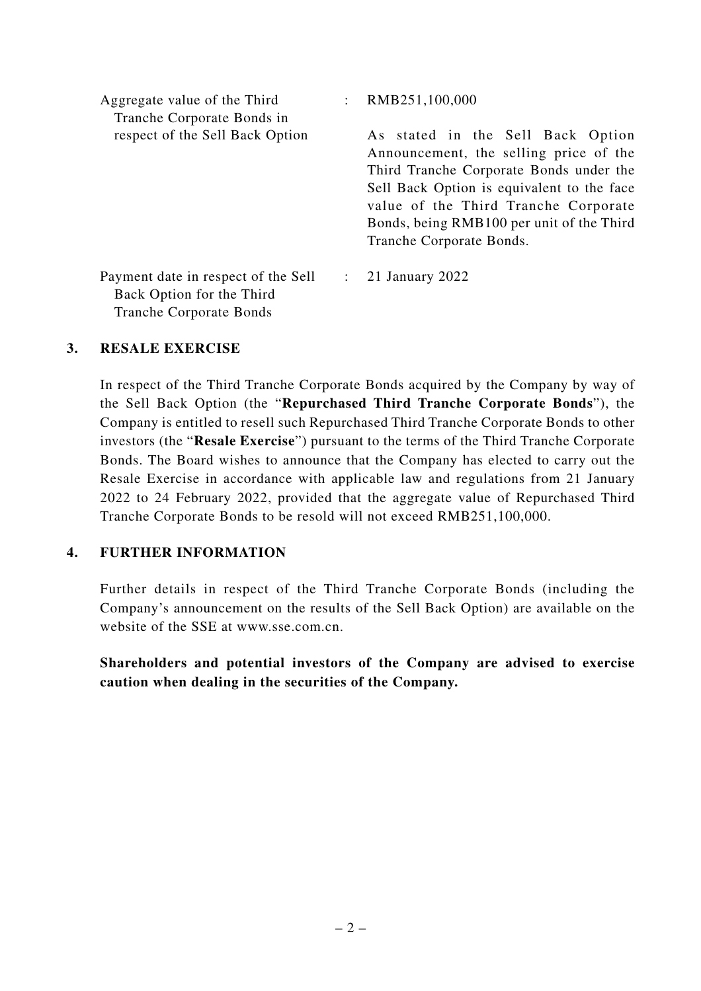| Aggregate value of the Third<br>Tranche Corporate Bonds in                                         | RMB251,100,000                                                                                                                                                                                                                                                                        |
|----------------------------------------------------------------------------------------------------|---------------------------------------------------------------------------------------------------------------------------------------------------------------------------------------------------------------------------------------------------------------------------------------|
| respect of the Sell Back Option                                                                    | As stated in the Sell Back Option<br>Announcement, the selling price of the<br>Third Tranche Corporate Bonds under the<br>Sell Back Option is equivalent to the face<br>value of the Third Tranche Corporate<br>Bonds, being RMB100 per unit of the Third<br>Tranche Corporate Bonds. |
| Payment date in respect of the Sell<br>Back Option for the Third<br><b>Tranche Corporate Bonds</b> | 21 January 2022                                                                                                                                                                                                                                                                       |

#### **3. RESALE EXERCISE**

In respect of the Third Tranche Corporate Bonds acquired by the Company by way of the Sell Back Option (the "**Repurchased Third Tranche Corporate Bonds**"), the Company is entitled to resell such Repurchased Third Tranche Corporate Bonds to other investors (the "**Resale Exercise**") pursuant to the terms of the Third Tranche Corporate Bonds. The Board wishes to announce that the Company has elected to carry out the Resale Exercise in accordance with applicable law and regulations from 21 January 2022 to 24 February 2022, provided that the aggregate value of Repurchased Third Tranche Corporate Bonds to be resold will not exceed RMB251,100,000.

#### **4. FURTHER INFORMATION**

Further details in respect of the Third Tranche Corporate Bonds (including the Company's announcement on the results of the Sell Back Option) are available on the website of the SSE at www.sse.com.cn.

**Shareholders and potential investors of the Company are advised to exercise caution when dealing in the securities of the Company.**